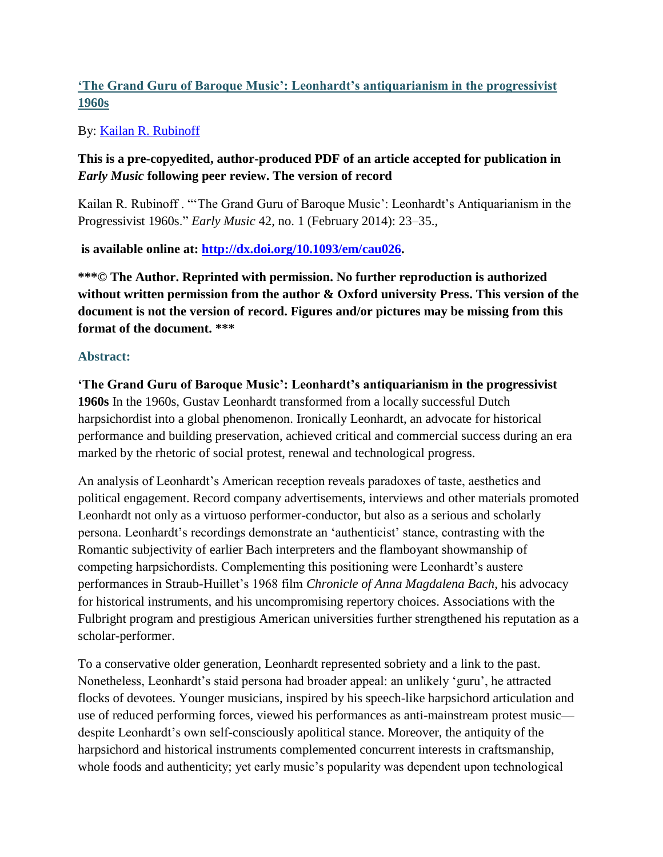# **'The Grand Guru of Baroque Music': Leonhardt's antiquarianism in the progressivist 1960s**

By: [Kailan R. Rubinoff](http://libres.uncg.edu/ir/uncg/clist.aspx?id=4054)

## **This is a pre-copyedited, author-produced PDF of an article accepted for publication in**  *Early Music* **following peer review. The version of record**

Kailan R. Rubinoff . "'The Grand Guru of Baroque Music': Leonhardt's Antiquarianism in the Progressivist 1960s." *Early Music* 42, no. 1 (February 2014): 23–35.,

## **is available online at: [http://dx.doi.org/10.1093/em/cau026.](http://dx.doi.org/10.1093/em/cau026)**

**\*\*\*© The Author. Reprinted with permission. No further reproduction is authorized without written permission from the author & Oxford university Press. This version of the document is not the version of record. Figures and/or pictures may be missing from this format of the document. \*\*\***

### **Abstract:**

**'The Grand Guru of Baroque Music': Leonhardt's antiquarianism in the progressivist 1960s** In the 1960s, Gustav Leonhardt transformed from a locally successful Dutch harpsichordist into a global phenomenon. Ironically Leonhardt, an advocate for historical performance and building preservation, achieved critical and commercial success during an era marked by the rhetoric of social protest, renewal and technological progress.

An analysis of Leonhardt's American reception reveals paradoxes of taste, aesthetics and political engagement. Record company advertisements, interviews and other materials promoted Leonhardt not only as a virtuoso performer-conductor, but also as a serious and scholarly persona. Leonhardt's recordings demonstrate an 'authenticist' stance, contrasting with the Romantic subjectivity of earlier Bach interpreters and the flamboyant showmanship of competing harpsichordists. Complementing this positioning were Leonhardt's austere performances in Straub-Huillet's 1968 film *Chronicle of Anna Magdalena Bach*, his advocacy for historical instruments, and his uncompromising repertory choices. Associations with the Fulbright program and prestigious American universities further strengthened his reputation as a scholar-performer.

To a conservative older generation, Leonhardt represented sobriety and a link to the past. Nonetheless, Leonhardt's staid persona had broader appeal: an unlikely 'guru', he attracted flocks of devotees. Younger musicians, inspired by his speech-like harpsichord articulation and use of reduced performing forces, viewed his performances as anti-mainstream protest music despite Leonhardt's own self-consciously apolitical stance. Moreover, the antiquity of the harpsichord and historical instruments complemented concurrent interests in craftsmanship, whole foods and authenticity; yet early music's popularity was dependent upon technological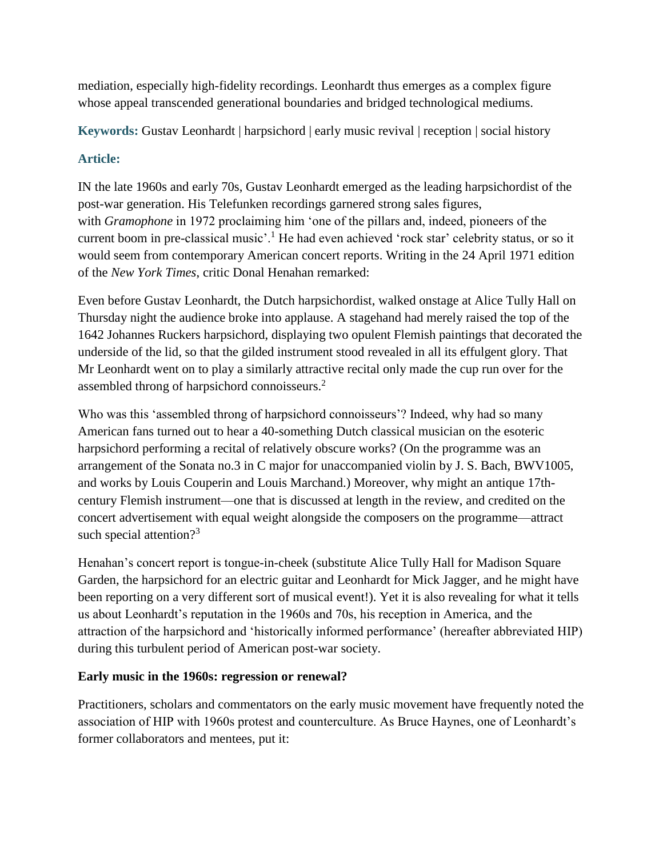mediation, especially high-fidelity recordings. Leonhardt thus emerges as a complex figure whose appeal transcended generational boundaries and bridged technological mediums.

**Keywords:** Gustav Leonhardt | harpsichord | early music revival | reception | social history

# **Article:**

IN the late 1960s and early 70s, Gustav Leonhardt emerged as the leading harpsichordist of the post-war generation. His Telefunken recordings garnered strong sales figures, with *Gramophone* in 1972 proclaiming him 'one of the pillars and, indeed, pioneers of the current boom in pre-classical music'.<sup>1</sup> He had even achieved 'rock star' celebrity status, or so it would seem from contemporary American concert reports. Writing in the 24 April 1971 edition of the *New York Times*, critic Donal Henahan remarked:

Even before Gustav Leonhardt, the Dutch harpsichordist, walked onstage at Alice Tully Hall on Thursday night the audience broke into applause. A stagehand had merely raised the top of the 1642 Johannes Ruckers harpsichord, displaying two opulent Flemish paintings that decorated the underside of the lid, so that the gilded instrument stood revealed in all its effulgent glory. That Mr Leonhardt went on to play a similarly attractive recital only made the cup run over for the assembled throng of harpsichord connoisseurs.<sup>2</sup>

Who was this 'assembled throng of harpsichord connoisseurs'? Indeed, why had so many American fans turned out to hear a 40-something Dutch classical musician on the esoteric harpsichord performing a recital of relatively obscure works? (On the programme was an arrangement of the Sonata no.3 in C major for unaccompanied violin by J. S. Bach, BWV1005, and works by Louis Couperin and Louis Marchand.) Moreover, why might an antique 17thcentury Flemish instrument—one that is discussed at length in the review, and credited on the concert advertisement with equal weight alongside the composers on the programme—attract such special attention?<sup>3</sup>

Henahan's concert report is tongue-in-cheek (substitute Alice Tully Hall for Madison Square Garden, the harpsichord for an electric guitar and Leonhardt for Mick Jagger, and he might have been reporting on a very different sort of musical event!). Yet it is also revealing for what it tells us about Leonhardt's reputation in the 1960s and 70s, his reception in America, and the attraction of the harpsichord and 'historically informed performance' (hereafter abbreviated HIP) during this turbulent period of American post-war society.

## **Early music in the 1960s: regression or renewal?**

Practitioners, scholars and commentators on the early music movement have frequently noted the association of HIP with 1960s protest and counterculture. As Bruce Haynes, one of Leonhardt's former collaborators and mentees, put it: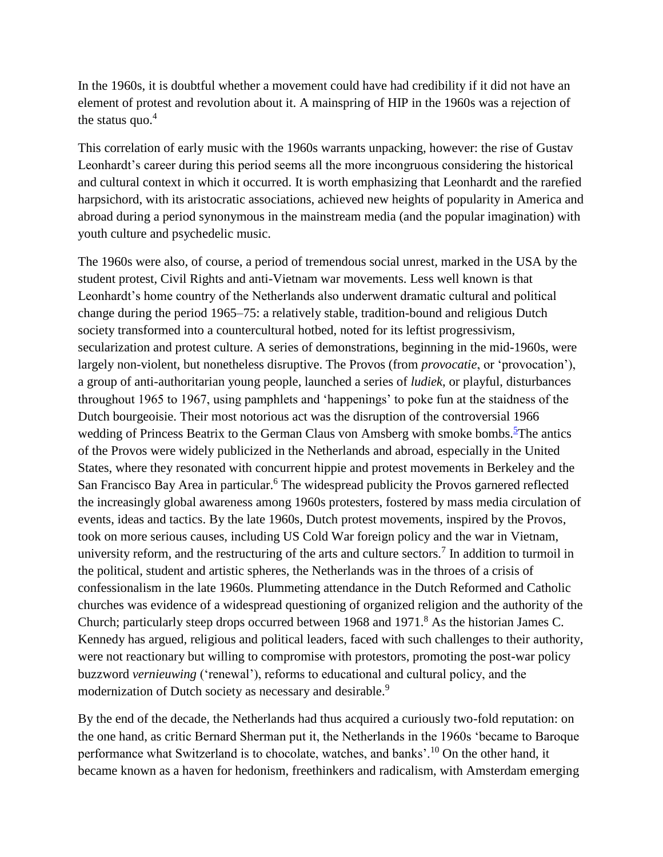In the 1960s, it is doubtful whether a movement could have had credibility if it did not have an element of protest and revolution about it. A mainspring of HIP in the 1960s was a rejection of the status quo. $4$ 

This correlation of early music with the 1960s warrants unpacking, however: the rise of Gustav Leonhardt's career during this period seems all the more incongruous considering the historical and cultural context in which it occurred. It is worth emphasizing that Leonhardt and the rarefied harpsichord, with its aristocratic associations, achieved new heights of popularity in America and abroad during a period synonymous in the mainstream media (and the popular imagination) with youth culture and psychedelic music.

The 1960s were also, of course, a period of tremendous social unrest, marked in the USA by the student protest, Civil Rights and anti-Vietnam war movements. Less well known is that Leonhardt's home country of the Netherlands also underwent dramatic cultural and political change during the period 1965–75: a relatively stable, tradition-bound and religious Dutch society transformed into a countercultural hotbed, noted for its leftist progressivism, secularization and protest culture. A series of demonstrations, beginning in the mid-1960s, were largely non-violent, but nonetheless disruptive. The Provos (from *provocatie*, or 'provocation'), a group of anti-authoritarian young people, launched a series of *ludiek*, or playful, disturbances throughout 1965 to 1967, using pamphlets and 'happenings' to poke fun at the staidness of the Dutch bourgeoisie. Their most notorious act was the disruption of the controversial 1966 wedding of Princess Beatrix to the German Claus von Amsberg with smoke bombs.<sup>5</sup>[T](http://em.oxfordjournals.org/content/42/1/23.full#fn-5)he antics of the Provos were widely publicized in the Netherlands and abroad, especially in the United States, where they resonated with concurrent hippie and protest movements in Berkeley and the San Francisco Bay Area in particular.<sup>6</sup> The widespread publicity the Provos garnered reflected the increasingly global awareness among 1960s protesters, fostered by mass media circulation of events, ideas and tactics. By the late 1960s, Dutch protest movements, inspired by the Provos, took on more serious causes, including US Cold War foreign policy and the war in Vietnam, university reform, and the restructuring of the arts and culture sectors.<sup>7</sup> In addition to turmoil in the political, student and artistic spheres, the Netherlands was in the throes of a crisis of confessionalism in the late 1960s. Plummeting attendance in the Dutch Reformed and Catholic churches was evidence of a widespread questioning of organized religion and the authority of the Church; particularly steep drops occurred between 1968 and 1971.<sup>8</sup> As the historian James C. Kennedy has argued, religious and political leaders, faced with such challenges to their authority, were not reactionary but willing to compromise with protestors, promoting the post-war policy buzzword *vernieuwing* ('renewal'), reforms to educational and cultural policy, and the modernization of Dutch society as necessary and desirable.<sup>9</sup>

By the end of the decade, the Netherlands had thus acquired a curiously two-fold reputation: on the one hand, as critic Bernard Sherman put it, the Netherlands in the 1960s 'became to Baroque performance what Switzerland is to chocolate, watches, and banks'.<sup>10</sup> On the other hand, it became known as a haven for hedonism, freethinkers and radicalism, with Amsterdam emerging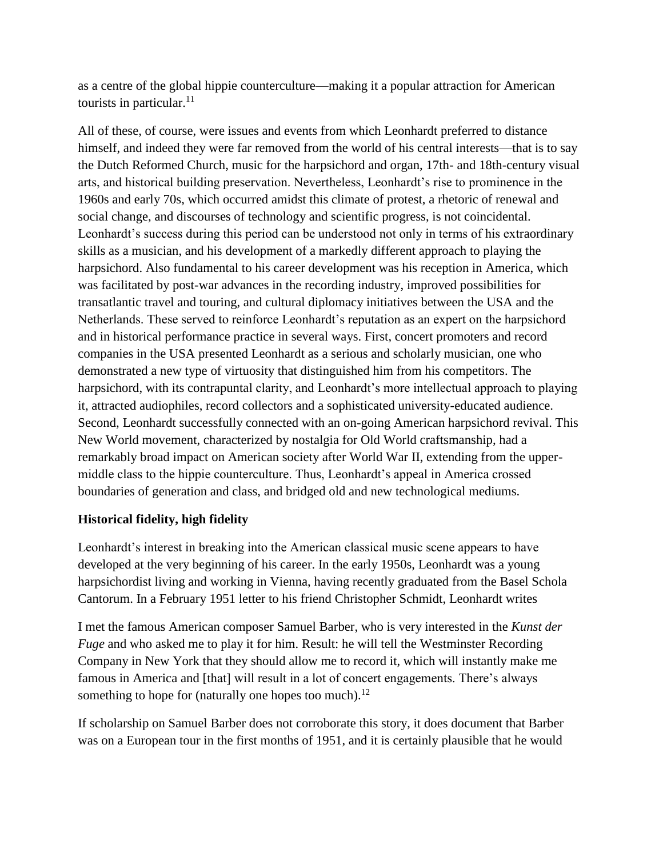as a centre of the global hippie counterculture—making it a popular attraction for American tourists in particular. $^{11}$ 

All of these, of course, were issues and events from which Leonhardt preferred to distance himself, and indeed they were far removed from the world of his central interests—that is to say the Dutch Reformed Church, music for the harpsichord and organ, 17th- and 18th-century visual arts, and historical building preservation. Nevertheless, Leonhardt's rise to prominence in the 1960s and early 70s, which occurred amidst this climate of protest, a rhetoric of renewal and social change, and discourses of technology and scientific progress, is not coincidental. Leonhardt's success during this period can be understood not only in terms of his extraordinary skills as a musician, and his development of a markedly different approach to playing the harpsichord. Also fundamental to his career development was his reception in America, which was facilitated by post-war advances in the recording industry, improved possibilities for transatlantic travel and touring, and cultural diplomacy initiatives between the USA and the Netherlands. These served to reinforce Leonhardt's reputation as an expert on the harpsichord and in historical performance practice in several ways. First, concert promoters and record companies in the USA presented Leonhardt as a serious and scholarly musician, one who demonstrated a new type of virtuosity that distinguished him from his competitors. The harpsichord, with its contrapuntal clarity, and Leonhardt's more intellectual approach to playing it, attracted audiophiles, record collectors and a sophisticated university-educated audience. Second, Leonhardt successfully connected with an on-going American harpsichord revival. This New World movement, characterized by nostalgia for Old World craftsmanship, had a remarkably broad impact on American society after World War II, extending from the uppermiddle class to the hippie counterculture. Thus, Leonhardt's appeal in America crossed boundaries of generation and class, and bridged old and new technological mediums.

### **Historical fidelity, high fidelity**

Leonhardt's interest in breaking into the American classical music scene appears to have developed at the very beginning of his career. In the early 1950s, Leonhardt was a young harpsichordist living and working in Vienna, having recently graduated from the Basel Schola Cantorum. In a February 1951 letter to his friend Christopher Schmidt, Leonhardt writes

I met the famous American composer Samuel Barber, who is very interested in the *Kunst der Fuge* and who asked me to play it for him. Result: he will tell the Westminster Recording Company in New York that they should allow me to record it, which will instantly make me famous in America and [that] will result in a lot of concert engagements. There's always something to hope for (naturally one hopes too much).<sup>12</sup>

If scholarship on Samuel Barber does not corroborate this story, it does document that Barber was on a European tour in the first months of 1951, and it is certainly plausible that he would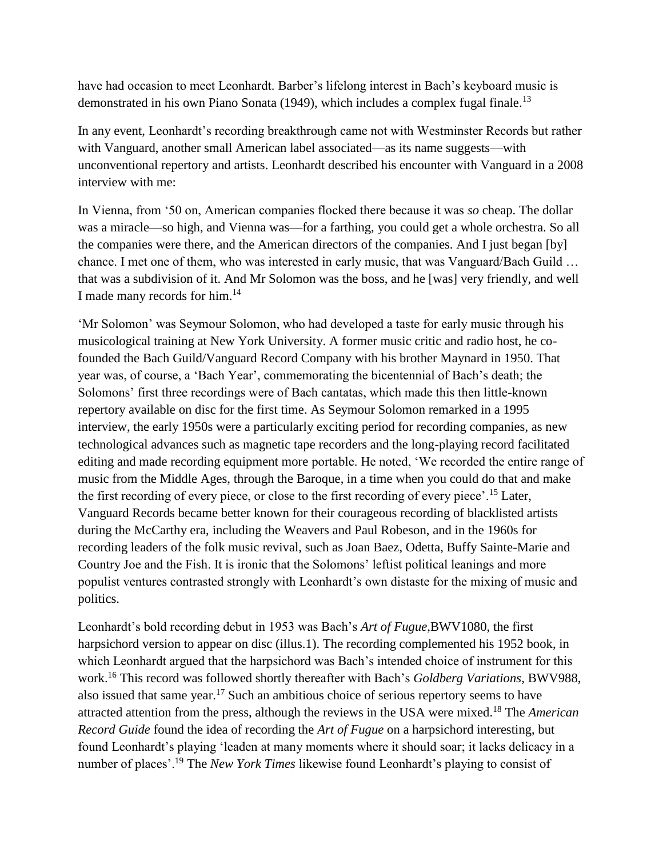have had occasion to meet Leonhardt. Barber's lifelong interest in Bach's keyboard music is demonstrated in his own Piano Sonata (1949), which includes a complex fugal finale.<sup>13</sup>

In any event, Leonhardt's recording breakthrough came not with Westminster Records but rather with Vanguard, another small American label associated—as its name suggests—with unconventional repertory and artists. Leonhardt described his encounter with Vanguard in a 2008 interview with me:

In Vienna, from '50 on, American companies flocked there because it was *so* cheap. The dollar was a miracle—so high, and Vienna was—for a farthing, you could get a whole orchestra. So all the companies were there, and the American directors of the companies. And I just began [by] chance. I met one of them, who was interested in early music, that was Vanguard/Bach Guild … that was a subdivision of it. And Mr Solomon was the boss, and he [was] very friendly, and well I made many records for him.<sup>14</sup>

'Mr Solomon' was Seymour Solomon, who had developed a taste for early music through his musicological training at New York University. A former music critic and radio host, he cofounded the Bach Guild/Vanguard Record Company with his brother Maynard in 1950. That year was, of course, a 'Bach Year', commemorating the bicentennial of Bach's death; the Solomons' first three recordings were of Bach cantatas, which made this then little-known repertory available on disc for the first time. As Seymour Solomon remarked in a 1995 interview, the early 1950s were a particularly exciting period for recording companies, as new technological advances such as magnetic tape recorders and the long-playing record facilitated editing and made recording equipment more portable. He noted, 'We recorded the entire range of music from the Middle Ages, through the Baroque, in a time when you could do that and make the first recording of every piece, or close to the first recording of every piece'.<sup>15</sup> Later, Vanguard Records became better known for their courageous recording of blacklisted artists during the McCarthy era, including the Weavers and Paul Robeson, and in the 1960s for recording leaders of the folk music revival, such as Joan Baez, Odetta, Buffy Sainte-Marie and Country Joe and the Fish. It is ironic that the Solomons' leftist political leanings and more populist ventures contrasted strongly with Leonhardt's own distaste for the mixing of music and politics.

Leonhardt's bold recording debut in 1953 was Bach's *Art of Fugue*,BWV1080, the first harpsichord version to appear on disc (illus.1). The recording complemented his 1952 book, in which Leonhardt argued that the harpsichord was Bach's intended choice of instrument for this work.<sup>16</sup> This record was followed shortly thereafter with Bach's *Goldberg Variations*, BWV988, also issued that same year.<sup>17</sup> Such an ambitious choice of serious repertory seems to have attracted attention from the press, although the reviews in the USA were mixed.<sup>18</sup> The *American Record Guide* found the idea of recording the *Art of Fugue* on a harpsichord interesting, but found Leonhardt's playing 'leaden at many moments where it should soar; it lacks delicacy in a number of places'.<sup>19</sup> The *New York Times* likewise found Leonhardt's playing to consist of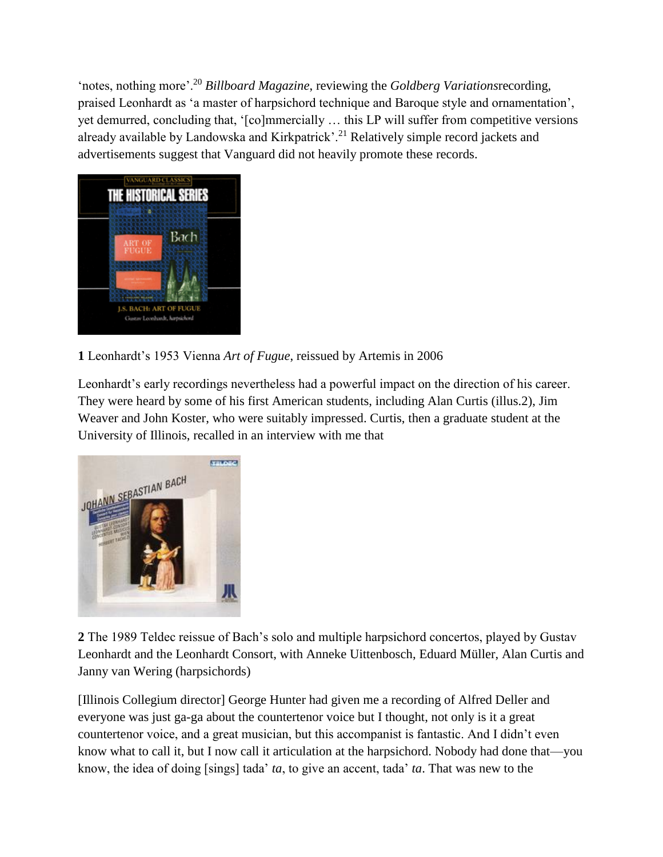'notes, nothing more'.<sup>20</sup> *Billboard Magazine*, reviewing the *Goldberg Variations*recording, praised Leonhardt as 'a master of harpsichord technique and Baroque style and ornamentation', yet demurred, concluding that, '[co]mmercially … this LP will suffer from competitive versions already available by Landowska and Kirkpatrick'.<sup>21</sup> Relatively simple record jackets and advertisements suggest that Vanguard did not heavily promote these records.



## **1** Leonhardt's 1953 Vienna *Art of Fugue*, reissued by Artemis in 2006

Leonhardt's early recordings nevertheless had a powerful impact on the direction of his career. They were heard by some of his first American students, including Alan Curtis (illus.2), Jim Weaver and John Koster, who were suitably impressed. Curtis, then a graduate student at the University of Illinois, recalled in an interview with me that



**2** The 1989 Teldec reissue of Bach's solo and multiple harpsichord concertos, played by Gustav Leonhardt and the Leonhardt Consort, with Anneke Uittenbosch, Eduard Müller, Alan Curtis and Janny van Wering (harpsichords)

[Illinois Collegium director] George Hunter had given me a recording of Alfred Deller and everyone was just ga-ga about the countertenor voice but I thought, not only is it a great countertenor voice, and a great musician, but this accompanist is fantastic. And I didn't even know what to call it, but I now call it articulation at the harpsichord. Nobody had done that—you know, the idea of doing [sings] tada' *ta*, to give an accent, tada' *ta*. That was new to the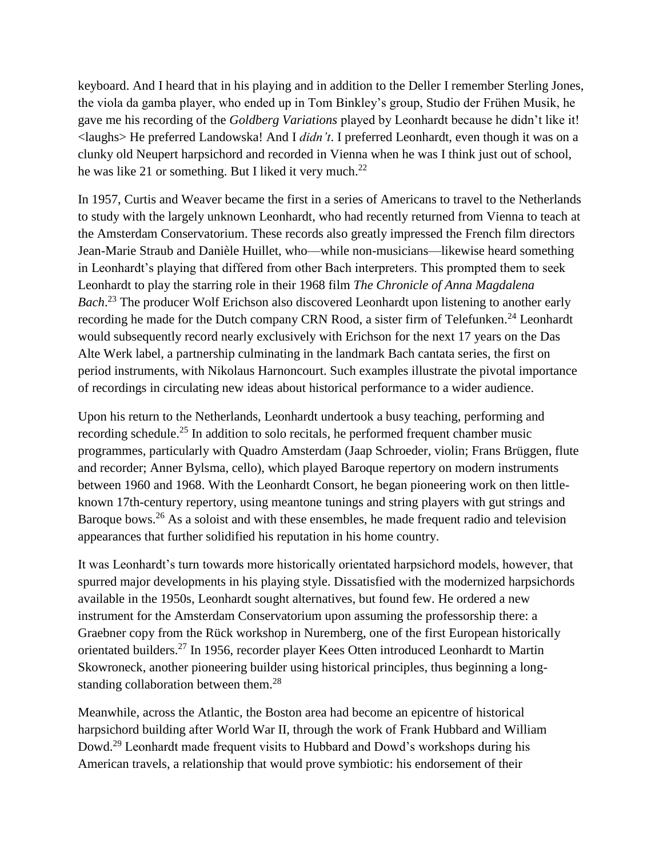keyboard. And I heard that in his playing and in addition to the Deller I remember Sterling Jones, the viola da gamba player, who ended up in Tom Binkley's group, Studio der Frühen Musik, he gave me his recording of the *Goldberg Variations* played by Leonhardt because he didn't like it! <laughs> He preferred Landowska! And I *didn't*. I preferred Leonhardt, even though it was on a clunky old Neupert harpsichord and recorded in Vienna when he was I think just out of school, he was like 21 or something. But I liked it very much.<sup>22</sup>

In 1957, Curtis and Weaver became the first in a series of Americans to travel to the Netherlands to study with the largely unknown Leonhardt, who had recently returned from Vienna to teach at the Amsterdam Conservatorium. These records also greatly impressed the French film directors Jean-Marie Straub and Danièle Huillet, who—while non-musicians—likewise heard something in Leonhardt's playing that differed from other Bach interpreters. This prompted them to seek Leonhardt to play the starring role in their 1968 film *The Chronicle of Anna Magdalena Bach*. <sup>23</sup> The producer Wolf Erichson also discovered Leonhardt upon listening to another early recording he made for the Dutch company CRN Rood, a sister firm of Telefunken.<sup>24</sup> Leonhardt would subsequently record nearly exclusively with Erichson for the next 17 years on the Das Alte Werk label, a partnership culminating in the landmark Bach cantata series, the first on period instruments, with Nikolaus Harnoncourt. Such examples illustrate the pivotal importance of recordings in circulating new ideas about historical performance to a wider audience.

Upon his return to the Netherlands, Leonhardt undertook a busy teaching, performing and recording schedule.<sup>25</sup> In addition to solo recitals, he performed frequent chamber music programmes, particularly with Quadro Amsterdam (Jaap Schroeder, violin; Frans Brüggen, flute and recorder; Anner Bylsma, cello), which played Baroque repertory on modern instruments between 1960 and 1968. With the Leonhardt Consort, he began pioneering work on then littleknown 17th-century repertory, using meantone tunings and string players with gut strings and Baroque bows.<sup>26</sup> As a soloist and with these ensembles, he made frequent radio and television appearances that further solidified his reputation in his home country.

It was Leonhardt's turn towards more historically orientated harpsichord models, however, that spurred major developments in his playing style. Dissatisfied with the modernized harpsichords available in the 1950s, Leonhardt sought alternatives, but found few. He ordered a new instrument for the Amsterdam Conservatorium upon assuming the professorship there: a Graebner copy from the Rück workshop in Nuremberg, one of the first European historically orientated builders.<sup>27</sup> In 1956, recorder player Kees Otten introduced Leonhardt to Martin Skowroneck, another pioneering builder using historical principles, thus beginning a longstanding collaboration between them.<sup>28</sup>

Meanwhile, across the Atlantic, the Boston area had become an epicentre of historical harpsichord building after World War II, through the work of Frank Hubbard and William Dowd.<sup>29</sup> Leonhardt made frequent visits to Hubbard and Dowd's workshops during his American travels, a relationship that would prove symbiotic: his endorsement of their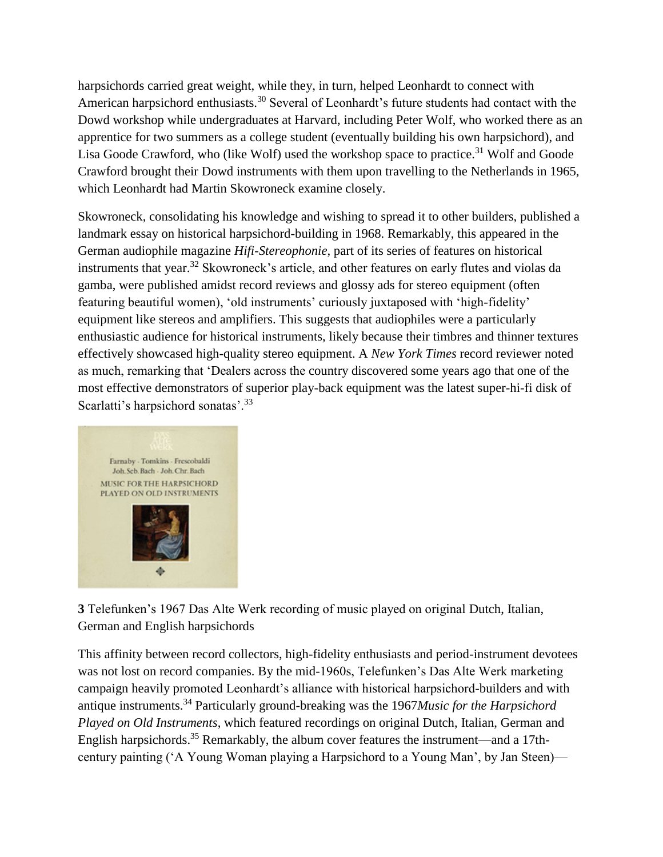harpsichords carried great weight, while they, in turn, helped Leonhardt to connect with American harpsichord enthusiasts.<sup>30</sup> Several of Leonhardt's future students had contact with the Dowd workshop while undergraduates at Harvard, including Peter Wolf, who worked there as an apprentice for two summers as a college student (eventually building his own harpsichord), and Lisa Goode Crawford, who (like Wolf) used the workshop space to practice.<sup>31</sup> Wolf and Goode Crawford brought their Dowd instruments with them upon travelling to the Netherlands in 1965, which Leonhardt had Martin Skowroneck examine closely.

Skowroneck, consolidating his knowledge and wishing to spread it to other builders, published a landmark essay on historical harpsichord-building in 1968. Remarkably, this appeared in the German audiophile magazine *Hifi-Stereophonie*, part of its series of features on historical instruments that year.<sup>32</sup> Skowroneck's article, and other features on early flutes and violas da gamba, were published amidst record reviews and glossy ads for stereo equipment (often featuring beautiful women), 'old instruments' curiously juxtaposed with 'high-fidelity' equipment like stereos and amplifiers. This suggests that audiophiles were a particularly enthusiastic audience for historical instruments, likely because their timbres and thinner textures effectively showcased high-quality stereo equipment. A *New York Times* record reviewer noted as much, remarking that 'Dealers across the country discovered some years ago that one of the most effective demonstrators of superior play-back equipment was the latest super-hi-fi disk of Scarlatti's harpsichord sonatas'.<sup>33</sup>



**3** Telefunken's 1967 Das Alte Werk recording of music played on original Dutch, Italian, German and English harpsichords

This affinity between record collectors, high-fidelity enthusiasts and period-instrument devotees was not lost on record companies. By the mid-1960s, Telefunken's Das Alte Werk marketing campaign heavily promoted Leonhardt's alliance with historical harpsichord-builders and with antique instruments.<sup>34</sup> Particularly ground-breaking was the 1967*Music for the Harpsichord Played on Old Instruments*, which featured recordings on original Dutch, Italian, German and English harpsichords.<sup>35</sup> Remarkably, the album cover features the instrument—and a 17thcentury painting ('A Young Woman playing a Harpsichord to a Young Man', by Jan Steen)—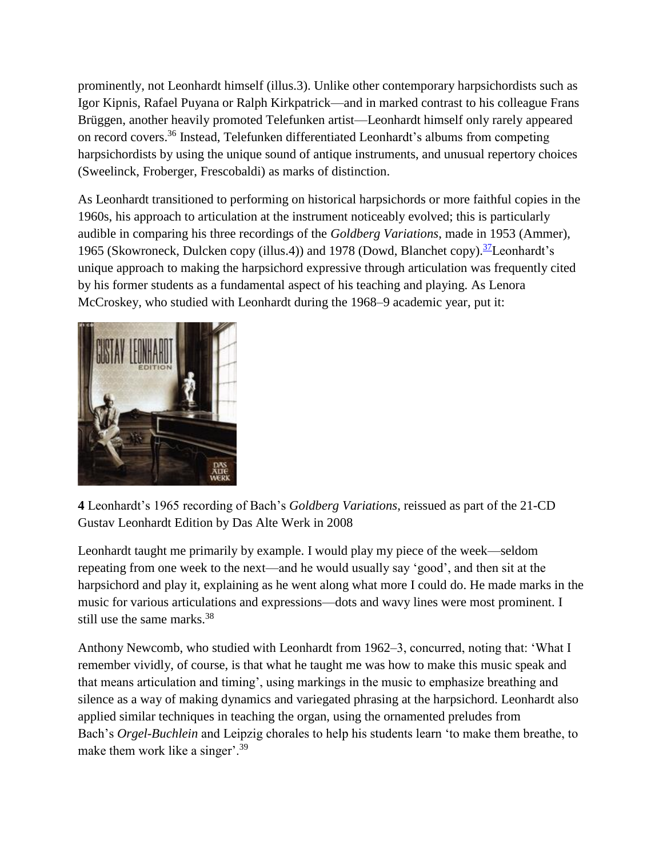prominently, not Leonhardt himself (illus.3). Unlike other contemporary harpsichordists such as Igor Kipnis, Rafael Puyana or Ralph Kirkpatrick—and in marked contrast to his colleague Frans Brüggen, another heavily promoted Telefunken artist—Leonhardt himself only rarely appeared on record covers.<sup>36</sup> Instead, Telefunken differentiated Leonhardt's albums from competing harpsichordists by using the unique sound of antique instruments, and unusual repertory choices (Sweelinck, Froberger, Frescobaldi) as marks of distinction.

As Leonhardt transitioned to performing on historical harpsichords or more faithful copies in the 1960s, his approach to articulation at the instrument noticeably evolved; this is particularly audible in comparing his three recordings of the *Goldberg Variations*, made in 1953 (Ammer), 1965 (Skowroneck, Dulcken copy (illus.4)) and 1978 (Dowd, Blanchet copy).  $\frac{37}{12}$  $\frac{37}{12}$  $\frac{37}{12}$ Leonhardt's unique approach to making the harpsichord expressive through articulation was frequently cited by his former students as a fundamental aspect of his teaching and playing. As Lenora McCroskey, who studied with Leonhardt during the 1968–9 academic year, put it:



**4** Leonhardt's 1965 recording of Bach's *Goldberg Variations*, reissued as part of the 21-CD Gustav Leonhardt Edition by Das Alte Werk in 2008

Leonhardt taught me primarily by example. I would play my piece of the week—seldom repeating from one week to the next—and he would usually say 'good', and then sit at the harpsichord and play it, explaining as he went along what more I could do. He made marks in the music for various articulations and expressions—dots and wavy lines were most prominent. I still use the same marks.<sup>38</sup>

Anthony Newcomb, who studied with Leonhardt from 1962–3, concurred, noting that: 'What I remember vividly, of course, is that what he taught me was how to make this music speak and that means articulation and timing', using markings in the music to emphasize breathing and silence as a way of making dynamics and variegated phrasing at the harpsichord. Leonhardt also applied similar techniques in teaching the organ, using the ornamented preludes from Bach's *Orgel-Buchlein* and Leipzig chorales to help his students learn 'to make them breathe, to make them work like a singer'.<sup>39</sup>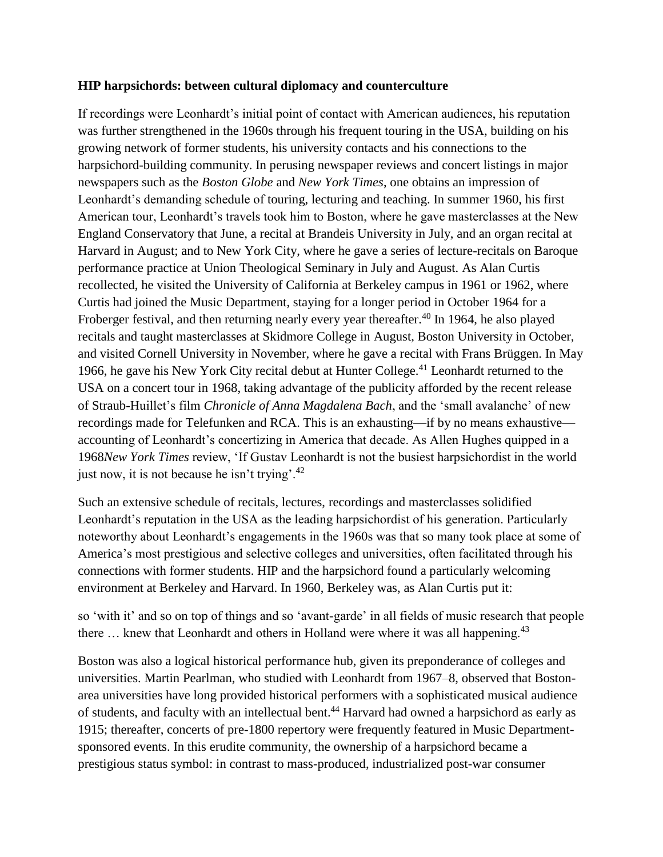#### **HIP harpsichords: between cultural diplomacy and counterculture**

If recordings were Leonhardt's initial point of contact with American audiences, his reputation was further strengthened in the 1960s through his frequent touring in the USA, building on his growing network of former students, his university contacts and his connections to the harpsichord-building community. In perusing newspaper reviews and concert listings in major newspapers such as the *Boston Globe* and *New York Times*, one obtains an impression of Leonhardt's demanding schedule of touring, lecturing and teaching. In summer 1960, his first American tour, Leonhardt's travels took him to Boston, where he gave masterclasses at the New England Conservatory that June, a recital at Brandeis University in July, and an organ recital at Harvard in August; and to New York City, where he gave a series of lecture-recitals on Baroque performance practice at Union Theological Seminary in July and August. As Alan Curtis recollected, he visited the University of California at Berkeley campus in 1961 or 1962, where Curtis had joined the Music Department, staying for a longer period in October 1964 for a Froberger festival, and then returning nearly every year thereafter.<sup>40</sup> In 1964, he also played recitals and taught masterclasses at Skidmore College in August, Boston University in October, and visited Cornell University in November, where he gave a recital with Frans Brüggen. In May 1966, he gave his New York City recital debut at Hunter College.<sup>41</sup> Leonhardt returned to the USA on a concert tour in 1968, taking advantage of the publicity afforded by the recent release of Straub-Huillet's film *Chronicle of Anna Magdalena Bach*, and the 'small avalanche' of new recordings made for Telefunken and RCA. This is an exhausting—if by no means exhaustive accounting of Leonhardt's concertizing in America that decade. As Allen Hughes quipped in a 1968*New York Times* review, 'If Gustav Leonhardt is not the busiest harpsichordist in the world just now, it is not because he isn't trying'.<sup>42</sup>

Such an extensive schedule of recitals, lectures, recordings and masterclasses solidified Leonhardt's reputation in the USA as the leading harpsichordist of his generation. Particularly noteworthy about Leonhardt's engagements in the 1960s was that so many took place at some of America's most prestigious and selective colleges and universities, often facilitated through his connections with former students. HIP and the harpsichord found a particularly welcoming environment at Berkeley and Harvard. In 1960, Berkeley was, as Alan Curtis put it:

so 'with it' and so on top of things and so 'avant-garde' in all fields of music research that people there  $\ldots$  knew that Leonhardt and others in Holland were where it was all happening.<sup>43</sup>

Boston was also a logical historical performance hub, given its preponderance of colleges and universities. Martin Pearlman, who studied with Leonhardt from 1967–8, observed that Bostonarea universities have long provided historical performers with a sophisticated musical audience of students, and faculty with an intellectual bent.<sup>44</sup> Harvard had owned a harpsichord as early as 1915; thereafter, concerts of pre-1800 repertory were frequently featured in Music Departmentsponsored events. In this erudite community, the ownership of a harpsichord became a prestigious status symbol: in contrast to mass-produced, industrialized post-war consumer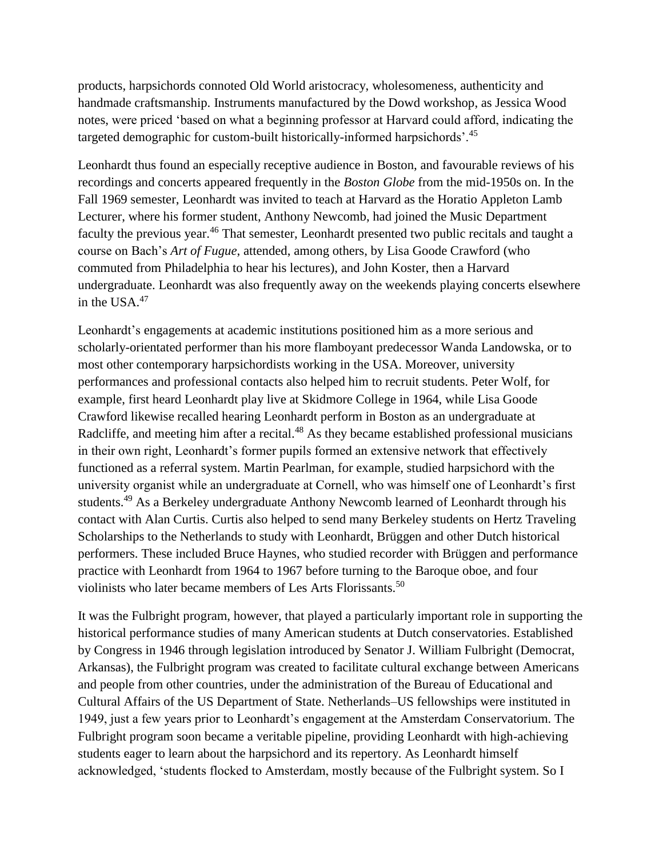products, harpsichords connoted Old World aristocracy, wholesomeness, authenticity and handmade craftsmanship. Instruments manufactured by the Dowd workshop, as Jessica Wood notes, were priced 'based on what a beginning professor at Harvard could afford, indicating the targeted demographic for custom-built historically-informed harpsichords'.<sup>45</sup>

Leonhardt thus found an especially receptive audience in Boston, and favourable reviews of his recordings and concerts appeared frequently in the *Boston Globe* from the mid-1950s on. In the Fall 1969 semester, Leonhardt was invited to teach at Harvard as the Horatio Appleton Lamb Lecturer, where his former student, Anthony Newcomb, had joined the Music Department faculty the previous year.<sup>46</sup> That semester, Leonhardt presented two public recitals and taught a course on Bach's *Art of Fugue*, attended, among others, by Lisa Goode Crawford (who commuted from Philadelphia to hear his lectures), and John Koster, then a Harvard undergraduate. Leonhardt was also frequently away on the weekends playing concerts elsewhere in the USA. $47$ 

Leonhardt's engagements at academic institutions positioned him as a more serious and scholarly-orientated performer than his more flamboyant predecessor Wanda Landowska, or to most other contemporary harpsichordists working in the USA. Moreover, university performances and professional contacts also helped him to recruit students. Peter Wolf, for example, first heard Leonhardt play live at Skidmore College in 1964, while Lisa Goode Crawford likewise recalled hearing Leonhardt perform in Boston as an undergraduate at Radcliffe, and meeting him after a recital.<sup>48</sup> As they became established professional musicians in their own right, Leonhardt's former pupils formed an extensive network that effectively functioned as a referral system. Martin Pearlman, for example, studied harpsichord with the university organist while an undergraduate at Cornell, who was himself one of Leonhardt's first students.<sup>49</sup> As a Berkeley undergraduate Anthony Newcomb learned of Leonhardt through his contact with Alan Curtis. Curtis also helped to send many Berkeley students on Hertz Traveling Scholarships to the Netherlands to study with Leonhardt, Brüggen and other Dutch historical performers. These included Bruce Haynes, who studied recorder with Brüggen and performance practice with Leonhardt from 1964 to 1967 before turning to the Baroque oboe, and four violinists who later became members of Les Arts Florissants.<sup>50</sup>

It was the Fulbright program, however, that played a particularly important role in supporting the historical performance studies of many American students at Dutch conservatories. Established by Congress in 1946 through legislation introduced by Senator J. William Fulbright (Democrat, Arkansas), the Fulbright program was created to facilitate cultural exchange between Americans and people from other countries, under the administration of the Bureau of Educational and Cultural Affairs of the US Department of State. Netherlands–US fellowships were instituted in 1949, just a few years prior to Leonhardt's engagement at the Amsterdam Conservatorium. The Fulbright program soon became a veritable pipeline, providing Leonhardt with high-achieving students eager to learn about the harpsichord and its repertory. As Leonhardt himself acknowledged, 'students flocked to Amsterdam, mostly because of the Fulbright system. So I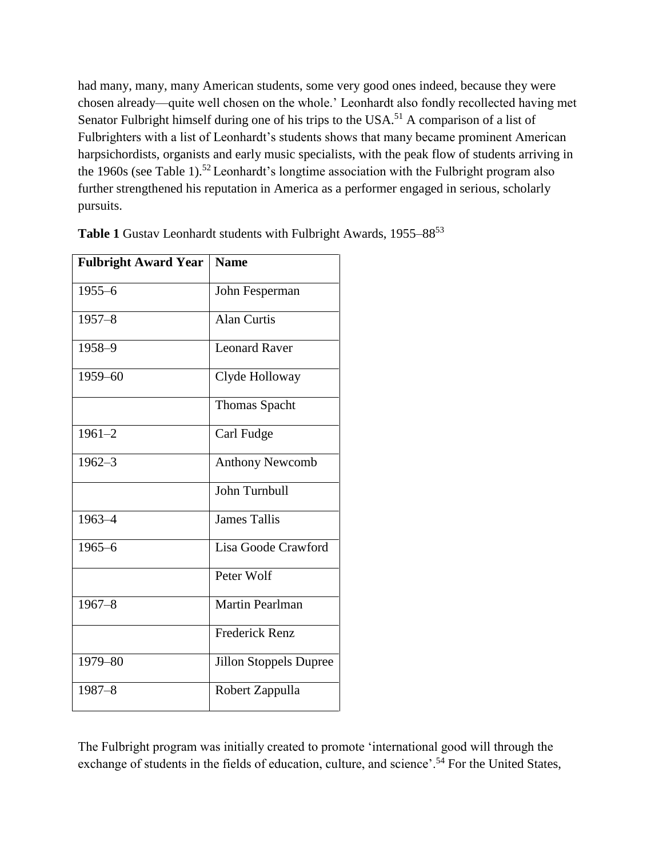had many, many, many American students, some very good ones indeed, because they were chosen already—quite well chosen on the whole.' Leonhardt also fondly recollected having met Senator Fulbright himself during one of his trips to the USA.<sup>51</sup> A comparison of a list of Fulbrighters with a list of Leonhardt's students shows that many became prominent American harpsichordists, organists and early music specialists, with the peak flow of students arriving in the 1960s (see Table 1).<sup>52</sup> Leonhardt's longtime association with the Fulbright program also further strengthened his reputation in America as a performer engaged in serious, scholarly pursuits.

| <b>Fulbright Award Year</b> | <b>Name</b>                   |
|-----------------------------|-------------------------------|
| $1955 - 6$                  | John Fesperman                |
| $1957 - 8$                  | <b>Alan Curtis</b>            |
| 1958-9                      | <b>Leonard Raver</b>          |
| 1959-60                     | Clyde Holloway                |
|                             | <b>Thomas Spacht</b>          |
| $1961 - 2$                  | Carl Fudge                    |
| $1962 - 3$                  | <b>Anthony Newcomb</b>        |
|                             | John Turnbull                 |
| 1963-4                      | <b>James Tallis</b>           |
| $1965 - 6$                  | Lisa Goode Crawford           |
|                             | Peter Wolf                    |
| $1967 - 8$                  | Martin Pearlman               |
|                             | <b>Frederick Renz</b>         |
| 1979-80                     | <b>Jillon Stoppels Dupree</b> |
| $1987 - 8$                  | Robert Zappulla               |

Table 1 Gustav Leonhardt students with Fulbright Awards, 1955–88<sup>53</sup>

The Fulbright program was initially created to promote 'international good will through the exchange of students in the fields of education, culture, and science'.<sup>54</sup> For the United States,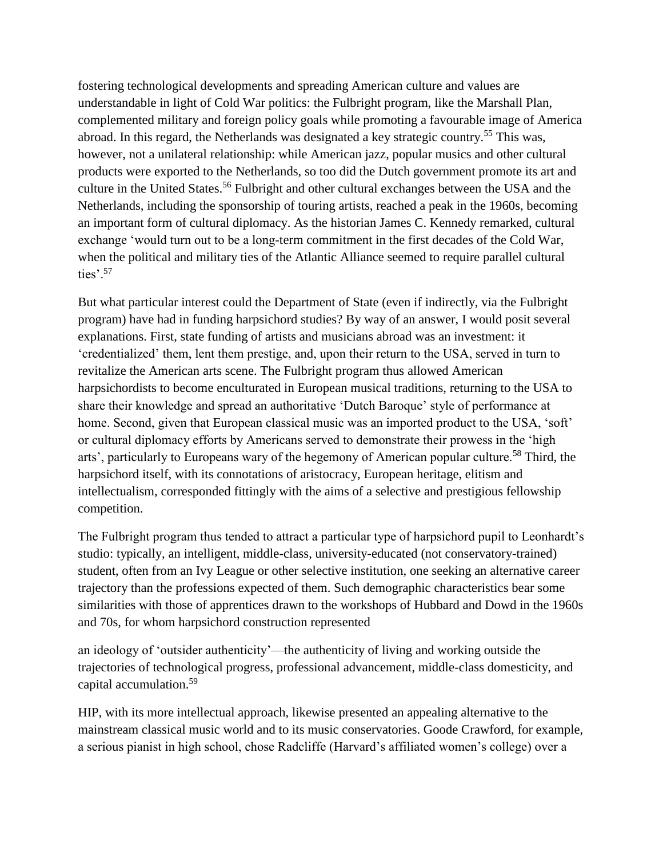fostering technological developments and spreading American culture and values are understandable in light of Cold War politics: the Fulbright program, like the Marshall Plan, complemented military and foreign policy goals while promoting a favourable image of America abroad. In this regard, the Netherlands was designated a key strategic country.<sup>55</sup> This was, however, not a unilateral relationship: while American jazz, popular musics and other cultural products were exported to the Netherlands, so too did the Dutch government promote its art and culture in the United States.<sup>56</sup> Fulbright and other cultural exchanges between the USA and the Netherlands, including the sponsorship of touring artists, reached a peak in the 1960s, becoming an important form of cultural diplomacy. As the historian James C. Kennedy remarked, cultural exchange 'would turn out to be a long-term commitment in the first decades of the Cold War, when the political and military ties of the Atlantic Alliance seemed to require parallel cultural ties'.<sup>57</sup>

But what particular interest could the Department of State (even if indirectly, via the Fulbright program) have had in funding harpsichord studies? By way of an answer, I would posit several explanations. First, state funding of artists and musicians abroad was an investment: it 'credentialized' them, lent them prestige, and, upon their return to the USA, served in turn to revitalize the American arts scene. The Fulbright program thus allowed American harpsichordists to become enculturated in European musical traditions, returning to the USA to share their knowledge and spread an authoritative 'Dutch Baroque' style of performance at home. Second, given that European classical music was an imported product to the USA, 'soft' or cultural diplomacy efforts by Americans served to demonstrate their prowess in the 'high arts', particularly to Europeans wary of the hegemony of American popular culture.<sup>58</sup> Third, the harpsichord itself, with its connotations of aristocracy, European heritage, elitism and intellectualism, corresponded fittingly with the aims of a selective and prestigious fellowship competition.

The Fulbright program thus tended to attract a particular type of harpsichord pupil to Leonhardt's studio: typically, an intelligent, middle-class, university-educated (not conservatory-trained) student, often from an Ivy League or other selective institution, one seeking an alternative career trajectory than the professions expected of them. Such demographic characteristics bear some similarities with those of apprentices drawn to the workshops of Hubbard and Dowd in the 1960s and 70s, for whom harpsichord construction represented

an ideology of 'outsider authenticity'—the authenticity of living and working outside the trajectories of technological progress, professional advancement, middle-class domesticity, and capital accumulation.<sup>59</sup>

HIP, with its more intellectual approach, likewise presented an appealing alternative to the mainstream classical music world and to its music conservatories. Goode Crawford, for example, a serious pianist in high school, chose Radcliffe (Harvard's affiliated women's college) over a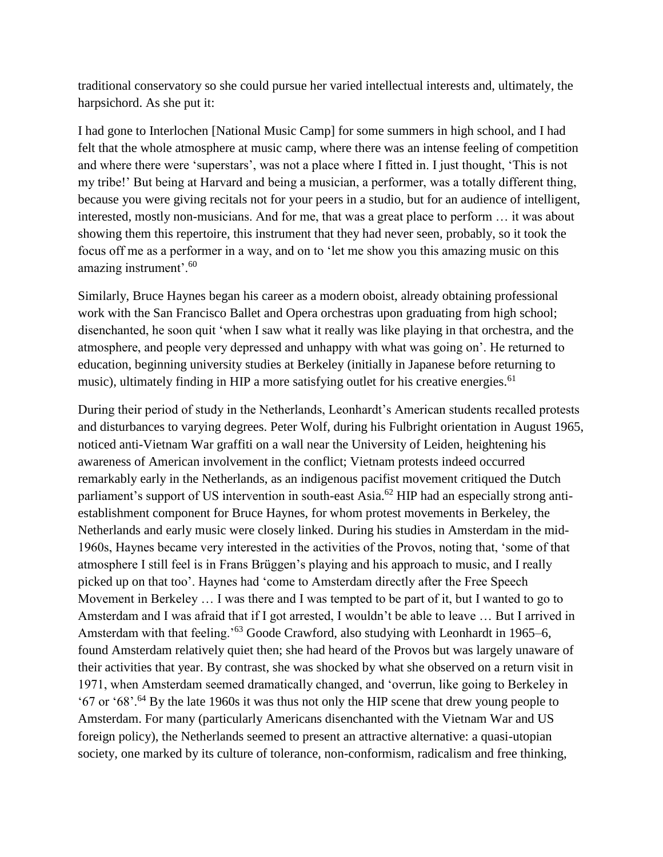traditional conservatory so she could pursue her varied intellectual interests and, ultimately, the harpsichord. As she put it:

I had gone to Interlochen [National Music Camp] for some summers in high school, and I had felt that the whole atmosphere at music camp, where there was an intense feeling of competition and where there were 'superstars', was not a place where I fitted in. I just thought, 'This is not my tribe!' But being at Harvard and being a musician, a performer, was a totally different thing, because you were giving recitals not for your peers in a studio, but for an audience of intelligent, interested, mostly non-musicians. And for me, that was a great place to perform … it was about showing them this repertoire, this instrument that they had never seen, probably, so it took the focus off me as a performer in a way, and on to 'let me show you this amazing music on this amazing instrument'.<sup>60</sup>

Similarly, Bruce Haynes began his career as a modern oboist, already obtaining professional work with the San Francisco Ballet and Opera orchestras upon graduating from high school; disenchanted, he soon quit 'when I saw what it really was like playing in that orchestra, and the atmosphere, and people very depressed and unhappy with what was going on'. He returned to education, beginning university studies at Berkeley (initially in Japanese before returning to music), ultimately finding in HIP a more satisfying outlet for his creative energies.<sup>61</sup>

During their period of study in the Netherlands, Leonhardt's American students recalled protests and disturbances to varying degrees. Peter Wolf, during his Fulbright orientation in August 1965, noticed anti-Vietnam War graffiti on a wall near the University of Leiden, heightening his awareness of American involvement in the conflict; Vietnam protests indeed occurred remarkably early in the Netherlands, as an indigenous pacifist movement critiqued the Dutch parliament's support of US intervention in south-east Asia.<sup>62</sup> HIP had an especially strong antiestablishment component for Bruce Haynes, for whom protest movements in Berkeley, the Netherlands and early music were closely linked. During his studies in Amsterdam in the mid-1960s, Haynes became very interested in the activities of the Provos, noting that, 'some of that atmosphere I still feel is in Frans Brüggen's playing and his approach to music, and I really picked up on that too'. Haynes had 'come to Amsterdam directly after the Free Speech Movement in Berkeley … I was there and I was tempted to be part of it, but I wanted to go to Amsterdam and I was afraid that if I got arrested, I wouldn't be able to leave … But I arrived in Amsterdam with that feeling.<sup>'63</sup> Goode Crawford, also studying with Leonhardt in 1965–6, found Amsterdam relatively quiet then; she had heard of the Provos but was largely unaware of their activities that year. By contrast, she was shocked by what she observed on a return visit in 1971, when Amsterdam seemed dramatically changed, and 'overrun, like going to Berkeley in '67 or '68'.<sup>64</sup> By the late 1960s it was thus not only the HIP scene that drew young people to Amsterdam. For many (particularly Americans disenchanted with the Vietnam War and US foreign policy), the Netherlands seemed to present an attractive alternative: a quasi-utopian society, one marked by its culture of tolerance, non-conformism, radicalism and free thinking,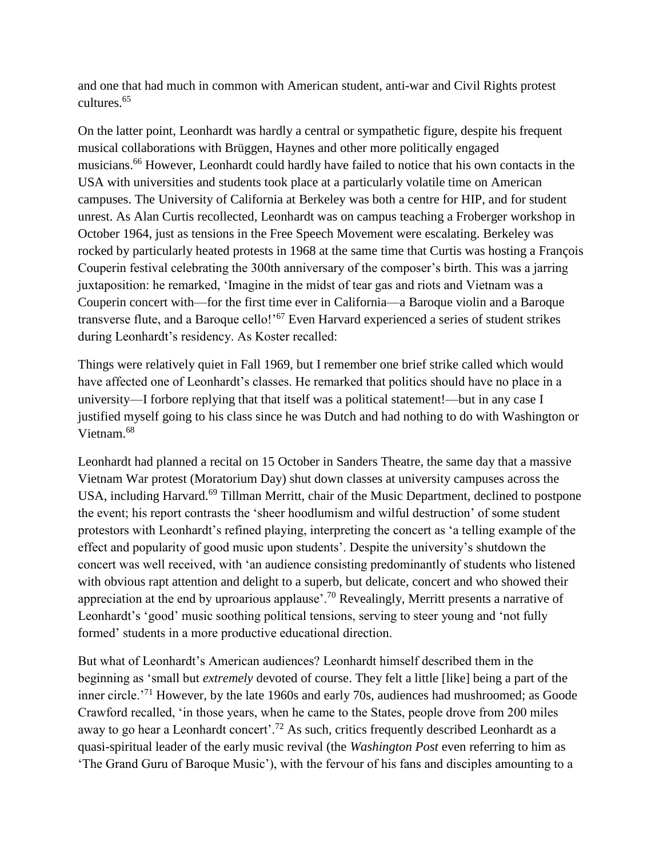and one that had much in common with American student, anti-war and Civil Rights protest cultures.<sup>65</sup>

On the latter point, Leonhardt was hardly a central or sympathetic figure, despite his frequent musical collaborations with Brüggen, Haynes and other more politically engaged musicians. <sup>66</sup> However, Leonhardt could hardly have failed to notice that his own contacts in the USA with universities and students took place at a particularly volatile time on American campuses. The University of California at Berkeley was both a centre for HIP, and for student unrest. As Alan Curtis recollected, Leonhardt was on campus teaching a Froberger workshop in October 1964, just as tensions in the Free Speech Movement were escalating. Berkeley was rocked by particularly heated protests in 1968 at the same time that Curtis was hosting a François Couperin festival celebrating the 300th anniversary of the composer's birth. This was a jarring juxtaposition: he remarked, 'Imagine in the midst of tear gas and riots and Vietnam was a Couperin concert with—for the first time ever in California—a Baroque violin and a Baroque transverse flute, and a Baroque cello!'<sup>67</sup> Even Harvard experienced a series of student strikes during Leonhardt's residency. As Koster recalled:

Things were relatively quiet in Fall 1969, but I remember one brief strike called which would have affected one of Leonhardt's classes. He remarked that politics should have no place in a university—I forbore replying that that itself was a political statement!—but in any case I justified myself going to his class since he was Dutch and had nothing to do with Washington or Vietnam.<sup>68</sup>

Leonhardt had planned a recital on 15 October in Sanders Theatre, the same day that a massive Vietnam War protest (Moratorium Day) shut down classes at university campuses across the USA, including Harvard.<sup>69</sup> Tillman Merritt, chair of the Music Department, declined to postpone the event; his report contrasts the 'sheer hoodlumism and wilful destruction' of some student protestors with Leonhardt's refined playing, interpreting the concert as 'a telling example of the effect and popularity of good music upon students'. Despite the university's shutdown the concert was well received, with 'an audience consisting predominantly of students who listened with obvious rapt attention and delight to a superb, but delicate, concert and who showed their appreciation at the end by uproarious applause'.<sup>70</sup> Revealingly, Merritt presents a narrative of Leonhardt's 'good' music soothing political tensions, serving to steer young and 'not fully formed' students in a more productive educational direction.

But what of Leonhardt's American audiences? Leonhardt himself described them in the beginning as 'small but *extremely* devoted of course. They felt a little [like] being a part of the inner circle.'<sup>71</sup> However, by the late 1960s and early 70s, audiences had mushroomed; as Goode Crawford recalled, 'in those years, when he came to the States, people drove from 200 miles away to go hear a Leonhardt concert'.<sup>72</sup> As such, critics frequently described Leonhardt as a quasi-spiritual leader of the early music revival (the *Washington Post* even referring to him as 'The Grand Guru of Baroque Music'), with the fervour of his fans and disciples amounting to a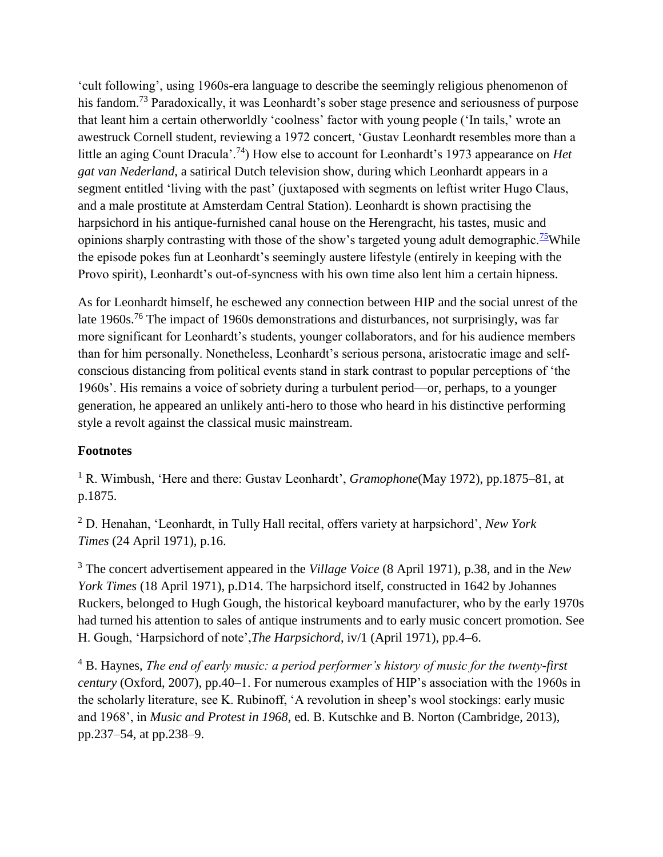'cult following', using 1960s-era language to describe the seemingly religious phenomenon of his fandom.<sup>73</sup> Paradoxically, it was Leonhardt's sober stage presence and seriousness of purpose that leant him a certain otherworldly 'coolness' factor with young people ('In tails,' wrote an awestruck Cornell student, reviewing a 1972 concert, 'Gustav Leonhardt resembles more than a little an aging Count Dracula'.<sup>74</sup>) How else to account for Leonhardt's 1973 appearance on *Het gat van Nederland*, a satirical Dutch television show, during which Leonhardt appears in a segment entitled 'living with the past' (juxtaposed with segments on leftist writer Hugo Claus, and a male prostitute at Amsterdam Central Station). Leonhardt is shown practising the harpsichord in his antique-furnished canal house on the Herengracht, his tastes, music and opinions sharply contrasting with those of the show's targeted young adult demographic.<sup>[75](http://em.oxfordjournals.org/content/42/1/23.full#fn-75)</sup>While the episode pokes fun at Leonhardt's seemingly austere lifestyle (entirely in keeping with the Provo spirit), Leonhardt's out-of-syncness with his own time also lent him a certain hipness.

As for Leonhardt himself, he eschewed any connection between HIP and the social unrest of the late 1960s.<sup>76</sup> The impact of 1960s demonstrations and disturbances, not surprisingly, was far more significant for Leonhardt's students, younger collaborators, and for his audience members than for him personally. Nonetheless, Leonhardt's serious persona, aristocratic image and selfconscious distancing from political events stand in stark contrast to popular perceptions of 'the 1960s'. His remains a voice of sobriety during a turbulent period—or, perhaps, to a younger generation, he appeared an unlikely anti-hero to those who heard in his distinctive performing style a revolt against the classical music mainstream.

#### **Footnotes**

<sup>1</sup> R. Wimbush, 'Here and there: Gustav Leonhardt', *Gramophone*(May 1972), pp.1875–81, at p.1875.

<sup>2</sup> D. Henahan, 'Leonhardt, in Tully Hall recital, offers variety at harpsichord', *New York Times* (24 April 1971), p.16.

<sup>3</sup> The concert advertisement appeared in the *Village Voice* (8 April 1971), p.38, and in the *New York Times* (18 April 1971), p.D14. The harpsichord itself, constructed in 1642 by Johannes Ruckers, belonged to Hugh Gough, the historical keyboard manufacturer, who by the early 1970s had turned his attention to sales of antique instruments and to early music concert promotion. See H. Gough, 'Harpsichord of note',*The Harpsichord*, iv/1 (April 1971), pp.4–6.

<sup>4</sup> B. Haynes, *The end of early music: a period performer's history of music for the twenty-first century* (Oxford, 2007), pp.40–1. For numerous examples of HIP's association with the 1960s in the scholarly literature, see K. Rubinoff, 'A revolution in sheep's wool stockings: early music and 1968', in *Music and Protest in 1968*, ed. B. Kutschke and B. Norton (Cambridge, 2013), pp.237–54, at pp.238–9.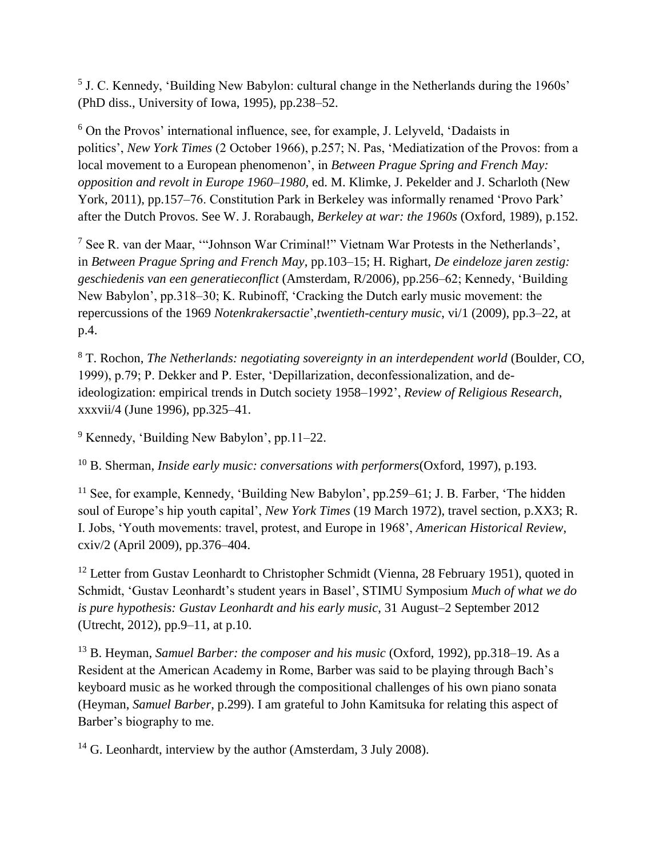<sup>5</sup> J. C. Kennedy, 'Building New Babylon: cultural change in the Netherlands during the 1960s' (PhD diss., University of Iowa, 1995), pp.238–52.

<sup>6</sup> On the Provos' international influence, see, for example, J. Lelyveld, 'Dadaists in politics', *New York Times* (2 October 1966), p.257; N. Pas, 'Mediatization of the Provos: from a local movement to a European phenomenon', in *Between Prague Spring and French May: opposition and revolt in Europe 1960–1980*, ed. M. Klimke, J. Pekelder and J. Scharloth (New York, 2011), pp.157–76. Constitution Park in Berkeley was informally renamed 'Provo Park' after the Dutch Provos. See W. J. Rorabaugh, *Berkeley at war: the 1960s* (Oxford, 1989), p.152.

<sup>7</sup> See R. van der Maar, '"Johnson War Criminal!" Vietnam War Protests in the Netherlands', in *Between Prague Spring and French May*, pp.103–15; H. Righart, *De eindeloze jaren zestig: geschiedenis van een generatieconflict* (Amsterdam, R/2006), pp.256–62; Kennedy, 'Building New Babylon', pp.318–30; K. Rubinoff, 'Cracking the Dutch early music movement: the repercussions of the 1969 *Notenkrakersactie*',*twentieth-century music*, vi/1 (2009), pp.3–22, at p.4.

<sup>8</sup> T. Rochon, *The Netherlands: negotiating sovereignty in an interdependent world* (Boulder, CO, 1999), p.79; P. Dekker and P. Ester, 'Depillarization, deconfessionalization, and deideologization: empirical trends in Dutch society 1958–1992', *Review of Religious Research*, xxxvii/4 (June 1996), pp.325–41.

<sup>9</sup> Kennedy, 'Building New Babylon', pp.11–22.

<sup>10</sup> B. Sherman, *Inside early music: conversations with performers*(Oxford, 1997), p.193.

<sup>11</sup> See, for example, Kennedy, 'Building New Babylon', pp.259–61; J. B. Farber, 'The hidden soul of Europe's hip youth capital', *New York Times* (19 March 1972), travel section, p.XX3; R. I. Jobs, 'Youth movements: travel, protest, and Europe in 1968', *American Historical Review*, cxiv/2 (April 2009), pp.376–404.

<sup>12</sup> Letter from Gustav Leonhardt to Christopher Schmidt (Vienna, 28 February 1951), quoted in Schmidt, 'Gustav Leonhardt's student years in Basel', STIMU Symposium *Much of what we do is pure hypothesis: Gustav Leonhardt and his early music*, 31 August–2 September 2012 (Utrecht, 2012), pp.9–11, at p.10.

<sup>13</sup> B. Heyman, *Samuel Barber: the composer and his music* (Oxford, 1992), pp.318–19. As a Resident at the American Academy in Rome, Barber was said to be playing through Bach's keyboard music as he worked through the compositional challenges of his own piano sonata (Heyman, *Samuel Barber*, p.299). I am grateful to John Kamitsuka for relating this aspect of Barber's biography to me.

 $14$  G. Leonhardt, interview by the author (Amsterdam, 3 July 2008).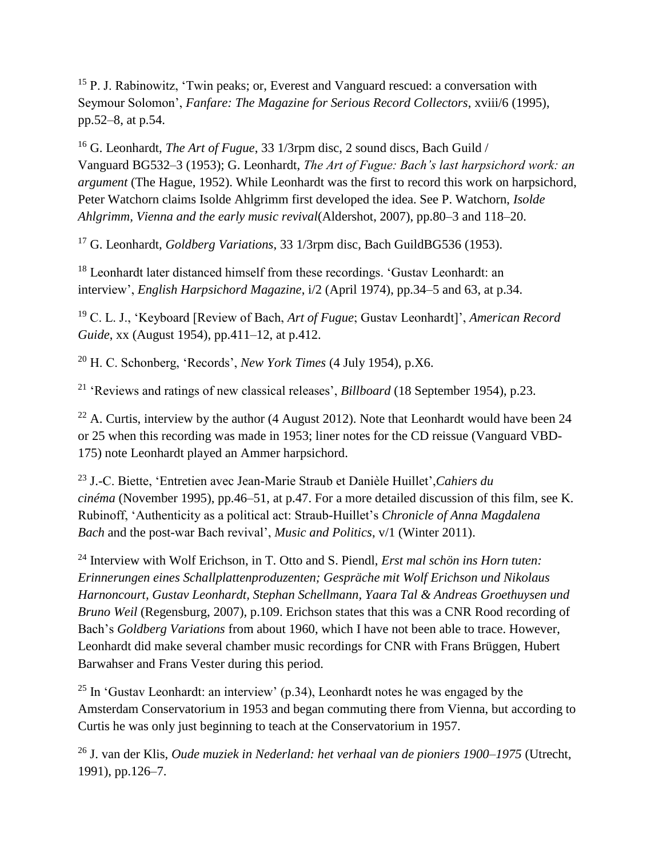<sup>15</sup> P. J. Rabinowitz, 'Twin peaks; or, Everest and Vanguard rescued: a conversation with Seymour Solomon', *Fanfare: The Magazine for Serious Record Collectors*, xviii/6 (1995), pp.52–8, at p.54.

<sup>16</sup> G. Leonhardt, *The Art of Fugue*, 33 1/3rpm disc, 2 sound discs, Bach Guild / Vanguard BG532–3 (1953); G. Leonhardt, *The Art of Fugue: Bach's last harpsichord work: an argument* (The Hague, 1952). While Leonhardt was the first to record this work on harpsichord, Peter Watchorn claims Isolde Ahlgrimm first developed the idea. See P. Watchorn, *Isolde Ahlgrimm, Vienna and the early music revival*(Aldershot, 2007), pp.80–3 and 118–20.

<sup>17</sup> G. Leonhardt, *Goldberg Variations*, 33 1/3rpm disc, Bach GuildBG536 (1953).

<sup>18</sup> Leonhardt later distanced himself from these recordings. 'Gustav Leonhardt: an interview', *English Harpsichord Magazine*, i/2 (April 1974), pp.34–5 and 63, at p.34.

<sup>19</sup> C. L. J., 'Keyboard [Review of Bach, *Art of Fugue*; Gustav Leonhardt]', *American Record Guide*, xx (August 1954), pp.411–12, at p.412.

<sup>20</sup> H. C. Schonberg, 'Records', *New York Times* (4 July 1954), p.X6.

<sup>21</sup> 'Reviews and ratings of new classical releases', *Billboard* (18 September 1954), p.23.

<sup>22</sup> A. Curtis, interview by the author (4 August 2012). Note that Leonhardt would have been 24 or 25 when this recording was made in 1953; liner notes for the CD reissue (Vanguard VBD-175) note Leonhardt played an Ammer harpsichord.

<sup>23</sup> J.-C. Biette, 'Entretien avec Jean-Marie Straub et Danièle Huillet',*Cahiers du cinéma* (November 1995), pp.46–51, at p.47. For a more detailed discussion of this film, see K. Rubinoff, 'Authenticity as a political act: Straub-Huillet's *Chronicle of Anna Magdalena Bach* and the post-war Bach revival', *Music and Politics*, v/1 (Winter 2011).

<sup>24</sup> Interview with Wolf Erichson, in T. Otto and S. Piendl, *Erst mal schön ins Horn tuten: Erinnerungen eines Schallplattenproduzenten; Gespräche mit Wolf Erichson und Nikolaus Harnoncourt, Gustav Leonhardt, Stephan Schellmann, Yaara Tal & Andreas Groethuysen und Bruno Weil* (Regensburg, 2007), p.109. Erichson states that this was a CNR Rood recording of Bach's *Goldberg Variations* from about 1960, which I have not been able to trace. However, Leonhardt did make several chamber music recordings for CNR with Frans Brüggen, Hubert Barwahser and Frans Vester during this period.

<sup>25</sup> In 'Gustav Leonhardt: an interview'  $(p.34)$ , Leonhardt notes he was engaged by the Amsterdam Conservatorium in 1953 and began commuting there from Vienna, but according to Curtis he was only just beginning to teach at the Conservatorium in 1957.

<sup>26</sup> J. van der Klis, *Oude muziek in Nederland: het verhaal van de pioniers 1900–1975* (Utrecht, 1991), pp.126–7.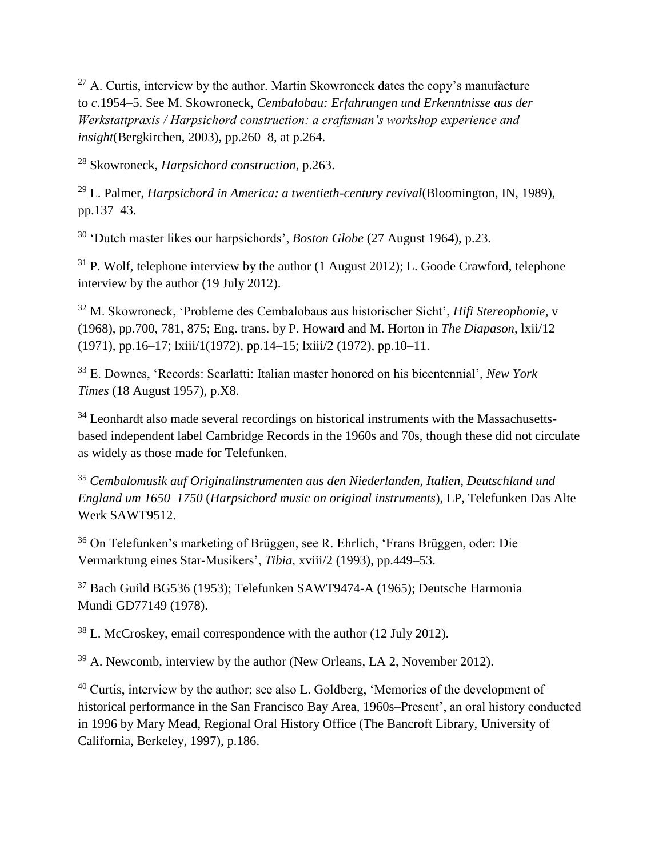$27$  A. Curtis, interview by the author. Martin Skowroneck dates the copy's manufacture to *c*.1954–5. See M. Skowroneck, *Cembalobau: Erfahrungen und Erkenntnisse aus der Werkstattpraxis / Harpsichord construction: a craftsman's workshop experience and insight*(Bergkirchen, 2003), pp.260–8, at p.264.

<sup>28</sup> Skowroneck, *Harpsichord construction*, p.263.

<sup>29</sup> L. Palmer, *Harpsichord in America: a twentieth-century revival*(Bloomington, IN, 1989), pp.137–43.

<sup>30</sup> 'Dutch master likes our harpsichords', *Boston Globe* (27 August 1964), p.23.

 $31$  P. Wolf, telephone interview by the author (1 August 2012); L. Goode Crawford, telephone interview by the author (19 July 2012).

<sup>32</sup> M. Skowroneck, 'Probleme des Cembalobaus aus historischer Sicht', *Hifi Stereophonie*, v (1968), pp.700, 781, 875; Eng. trans. by P. Howard and M. Horton in *The Diapason*, lxii/12 (1971), pp.16–17; lxiii/1(1972), pp.14–15; lxiii/2 (1972), pp.10–11.

<sup>33</sup> E. Downes, 'Records: Scarlatti: Italian master honored on his bicentennial', *New York Times* (18 August 1957), p.X8.

<sup>34</sup> Leonhardt also made several recordings on historical instruments with the Massachusettsbased independent label Cambridge Records in the 1960s and 70s, though these did not circulate as widely as those made for Telefunken.

<sup>35</sup> *Cembalomusik auf Originalinstrumenten aus den Niederlanden, Italien, Deutschland und England um 1650–1750* (*Harpsichord music on original instruments*), LP, Telefunken Das Alte Werk SAWT9512.

<sup>36</sup> On Telefunken's marketing of Brüggen, see R. Ehrlich, 'Frans Brüggen, oder: Die Vermarktung eines Star-Musikers', *Tibia*, xviii/2 (1993), pp.449–53.

<sup>37</sup> Bach Guild BG536 (1953); Telefunken SAWT9474-A (1965); Deutsche Harmonia Mundi GD77149 (1978).

<sup>38</sup> L. McCroskey, email correspondence with the author (12 July 2012).

 $39$  A. Newcomb, interview by the author (New Orleans, LA 2, November 2012).

<sup>40</sup> Curtis, interview by the author; see also L. Goldberg, 'Memories of the development of historical performance in the San Francisco Bay Area, 1960s–Present', an oral history conducted in 1996 by Mary Mead, Regional Oral History Office (The Bancroft Library, University of California, Berkeley, 1997), p.186.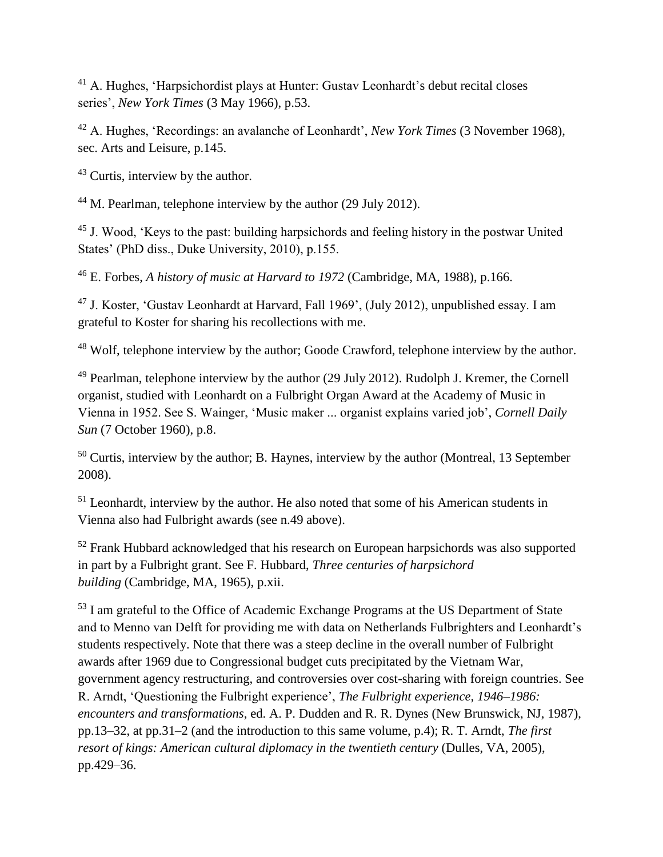<sup>41</sup> A. Hughes, 'Harpsichordist plays at Hunter: Gustav Leonhardt's debut recital closes series', *New York Times* (3 May 1966), p.53.

<sup>42</sup> A. Hughes, 'Recordings: an avalanche of Leonhardt', *New York Times* (3 November 1968), sec. Arts and Leisure, p.145.

<sup>43</sup> Curtis, interview by the author.

<sup>44</sup> M. Pearlman, telephone interview by the author (29 July 2012).

<sup>45</sup> J. Wood, 'Keys to the past: building harpsichords and feeling history in the postwar United States' (PhD diss., Duke University, 2010), p.155.

<sup>46</sup> E. Forbes, *A history of music at Harvard to 1972* (Cambridge, MA, 1988), p.166.

<sup>47</sup> J. Koster, 'Gustav Leonhardt at Harvard, Fall 1969', (July 2012), unpublished essay. I am grateful to Koster for sharing his recollections with me.

<sup>48</sup> Wolf, telephone interview by the author; Goode Crawford, telephone interview by the author.

 $49$  Pearlman, telephone interview by the author (29 July 2012). Rudolph J. Kremer, the Cornell organist, studied with Leonhardt on a Fulbright Organ Award at the Academy of Music in Vienna in 1952. See S. Wainger, 'Music maker ... organist explains varied job', *Cornell Daily Sun* (7 October 1960), p.8.

 $50$  Curtis, interview by the author; B. Haynes, interview by the author (Montreal, 13 September 2008).

<sup>51</sup> Leonhardt, interview by the author. He also noted that some of his American students in Vienna also had Fulbright awards (see n.49 above).

<sup>52</sup> Frank Hubbard acknowledged that his research on European harpsichords was also supported in part by a Fulbright grant. See F. Hubbard, *Three centuries of harpsichord building* (Cambridge, MA, 1965), p.xii.

<sup>53</sup> I am grateful to the Office of Academic Exchange Programs at the US Department of State and to Menno van Delft for providing me with data on Netherlands Fulbrighters and Leonhardt's students respectively. Note that there was a steep decline in the overall number of Fulbright awards after 1969 due to Congressional budget cuts precipitated by the Vietnam War, government agency restructuring, and controversies over cost-sharing with foreign countries. See R. Arndt, 'Questioning the Fulbright experience', *The Fulbright experience, 1946–1986: encounters and transformations*, ed. A. P. Dudden and R. R. Dynes (New Brunswick, NJ, 1987), pp.13–32, at pp.31–2 (and the introduction to this same volume, p.4); R. T. Arndt, *The first resort of kings: American cultural diplomacy in the twentieth century* (Dulles, VA, 2005), pp.429–36.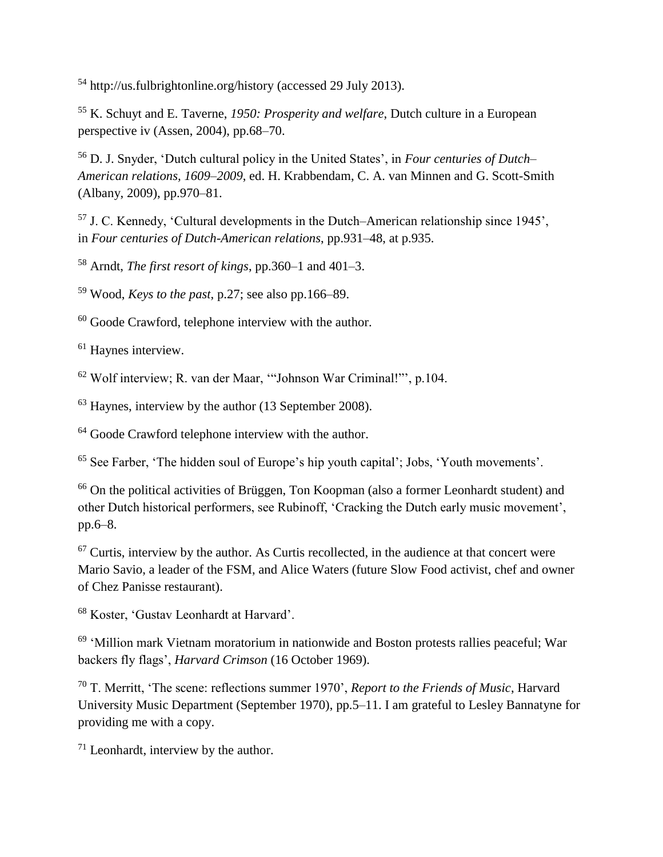<sup>54</sup> http://us.fulbrightonline.org/history (accessed 29 July 2013).

<sup>55</sup> K. Schuyt and E. Taverne, *1950: Prosperity and welfare*, Dutch culture in a European perspective iv (Assen, 2004), pp.68–70.

<sup>56</sup> D. J. Snyder, 'Dutch cultural policy in the United States', in *Four centuries of Dutch– American relations, 1609–2009*, ed. H. Krabbendam, C. A. van Minnen and G. Scott-Smith (Albany, 2009), pp.970–81.

<sup>57</sup> J. C. Kennedy, 'Cultural developments in the Dutch–American relationship since 1945', in *Four centuries of Dutch-American relations*, pp.931–48, at p.935.

<sup>58</sup> Arndt, *The first resort of kings*, pp.360–1 and 401–3.

<sup>59</sup> Wood, *Keys to the past*, p.27; see also pp.166–89.

<sup>60</sup> Goode Crawford, telephone interview with the author.

<sup>61</sup> Haynes interview.

<sup>62</sup> Wolf interview; R. van der Maar, '"Johnson War Criminal!"', p.104.

<sup>63</sup> Haynes, interview by the author (13 September 2008).

<sup>64</sup> Goode Crawford telephone interview with the author.

<sup>65</sup> See Farber, 'The hidden soul of Europe's hip youth capital'; Jobs, 'Youth movements'.

<sup>66</sup> On the political activities of Brüggen, Ton Koopman (also a former Leonhardt student) and other Dutch historical performers, see Rubinoff, 'Cracking the Dutch early music movement', pp.6–8.

 $67$  Curtis, interview by the author. As Curtis recollected, in the audience at that concert were Mario Savio, a leader of the FSM, and Alice Waters (future Slow Food activist, chef and owner of Chez Panisse restaurant).

<sup>68</sup> Koster, 'Gustav Leonhardt at Harvard'.

<sup>69</sup> 'Million mark Vietnam moratorium in nationwide and Boston protests rallies peaceful; War backers fly flags', *Harvard Crimson* (16 October 1969).

<sup>70</sup> T. Merritt, 'The scene: reflections summer 1970', *Report to the Friends of Music*, Harvard University Music Department (September 1970), pp.5–11. I am grateful to Lesley Bannatyne for providing me with a copy.

<sup>71</sup> Leonhardt, interview by the author.